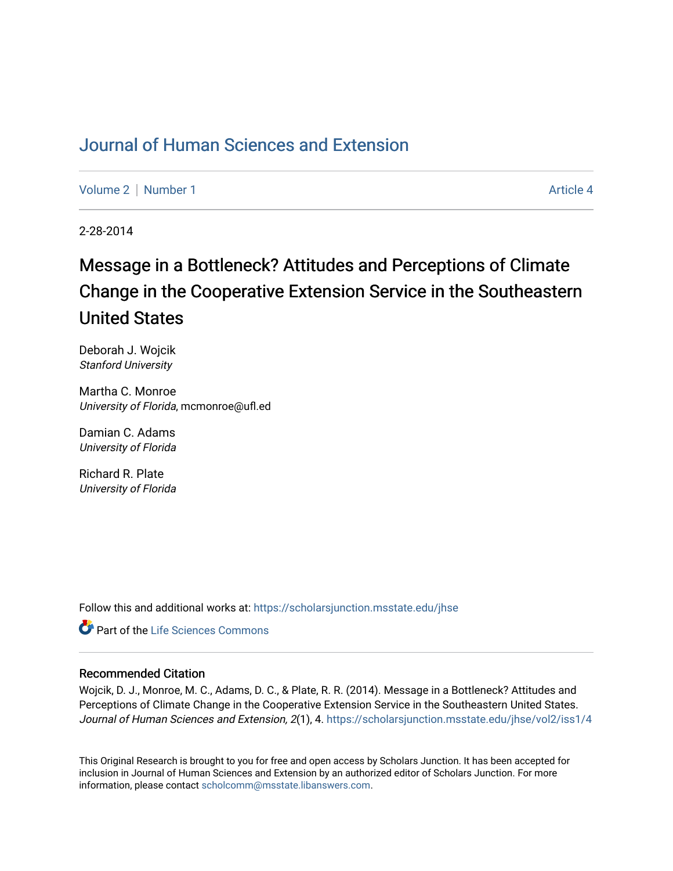## [Journal of Human Sciences and Extension](https://scholarsjunction.msstate.edu/jhse)

[Volume 2](https://scholarsjunction.msstate.edu/jhse/vol2) | [Number 1](https://scholarsjunction.msstate.edu/jhse/vol2/iss1) Article 4

2-28-2014

# Message in a Bottleneck? Attitudes and Perceptions of Climate Change in the Cooperative Extension Service in the Southeastern United States

Deborah J. Wojcik Stanford University

Martha C. Monroe University of Florida, mcmonroe@ufl.ed

Damian C. Adams University of Florida

Richard R. Plate University of Florida

Follow this and additional works at: [https://scholarsjunction.msstate.edu/jhse](https://scholarsjunction.msstate.edu/jhse?utm_source=scholarsjunction.msstate.edu%2Fjhse%2Fvol2%2Fiss1%2F4&utm_medium=PDF&utm_campaign=PDFCoverPages)

**C** Part of the Life Sciences Commons

### Recommended Citation

Wojcik, D. J., Monroe, M. C., Adams, D. C., & Plate, R. R. (2014). Message in a Bottleneck? Attitudes and Perceptions of Climate Change in the Cooperative Extension Service in the Southeastern United States. Journal of Human Sciences and Extension, 2(1), 4. [https://scholarsjunction.msstate.edu/jhse/vol2/iss1/4](https://scholarsjunction.msstate.edu/jhse/vol2/iss1/4?utm_source=scholarsjunction.msstate.edu%2Fjhse%2Fvol2%2Fiss1%2F4&utm_medium=PDF&utm_campaign=PDFCoverPages) 

This Original Research is brought to you for free and open access by Scholars Junction. It has been accepted for inclusion in Journal of Human Sciences and Extension by an authorized editor of Scholars Junction. For more information, please contact [scholcomm@msstate.libanswers.com](mailto:scholcomm@msstate.libanswers.com).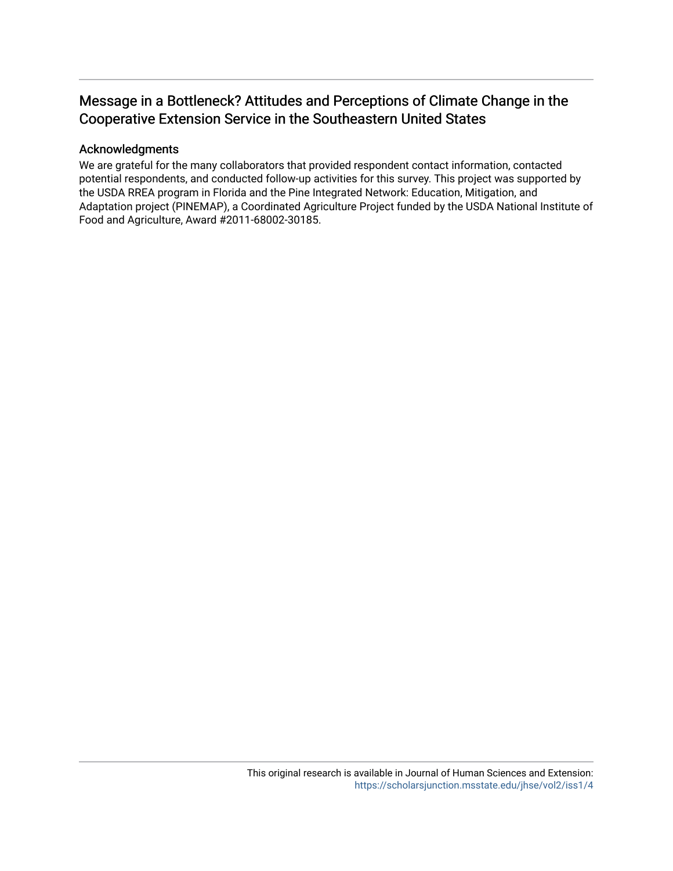## Message in a Bottleneck? Attitudes and Perceptions of Climate Change in the Cooperative Extension Service in the Southeastern United States

## Acknowledgments

We are grateful for the many collaborators that provided respondent contact information, contacted potential respondents, and conducted follow-up activities for this survey. This project was supported by the USDA RREA program in Florida and the Pine Integrated Network: Education, Mitigation, and Adaptation project (PINEMAP), a Coordinated Agriculture Project funded by the USDA National Institute of Food and Agriculture, Award #2011-68002-30185.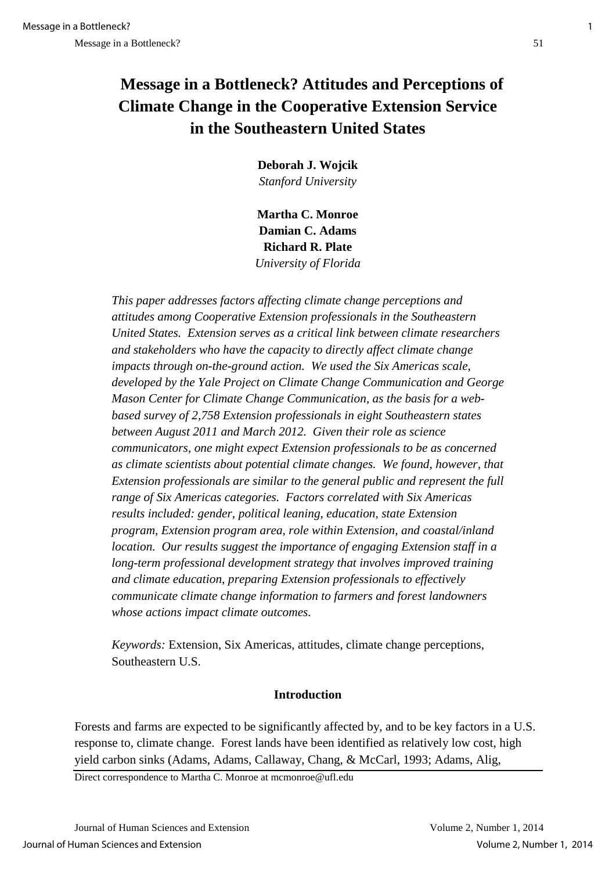# **Message in a Bottleneck? Attitudes and Perceptions of Climate Change in the Cooperative Extension Service in the Southeastern United States**

**Deborah J. Wojcik** *Stanford University* 

**Martha C. Monroe Damian C. Adams Richard R. Plate**  *University of Florida*

*This paper addresses factors affecting climate change perceptions and attitudes among Cooperative Extension professionals in the Southeastern United States. Extension serves as a critical link between climate researchers and stakeholders who have the capacity to directly affect climate change impacts through on-the-ground action. We used the Six Americas scale, developed by the Yale Project on Climate Change Communication and George Mason Center for Climate Change Communication, as the basis for a webbased survey of 2,758 Extension professionals in eight Southeastern states between August 2011 and March 2012. Given their role as science communicators, one might expect Extension professionals to be as concerned as climate scientists about potential climate changes. We found, however, that Extension professionals are similar to the general public and represent the full range of Six Americas categories. Factors correlated with Six Americas results included: gender, political leaning, education, state Extension program, Extension program area, role within Extension, and coastal/inland location. Our results suggest the importance of engaging Extension staff in a long-term professional development strategy that involves improved training and climate education, preparing Extension professionals to effectively communicate climate change information to farmers and forest landowners whose actions impact climate outcomes.*

*Keywords:* Extension, Six Americas, attitudes, climate change perceptions, Southeastern U.S.

### **Introduction**

Forests and farms are expected to be significantly affected by, and to be key factors in a U.S. response to, climate change. Forest lands have been identified as relatively low cost, high yield carbon sinks (Adams, Adams, Callaway, Chang, & McCarl, 1993; Adams, Alig,

Direct correspondence to Martha C. Monroe at mcmonroe@ufl.edu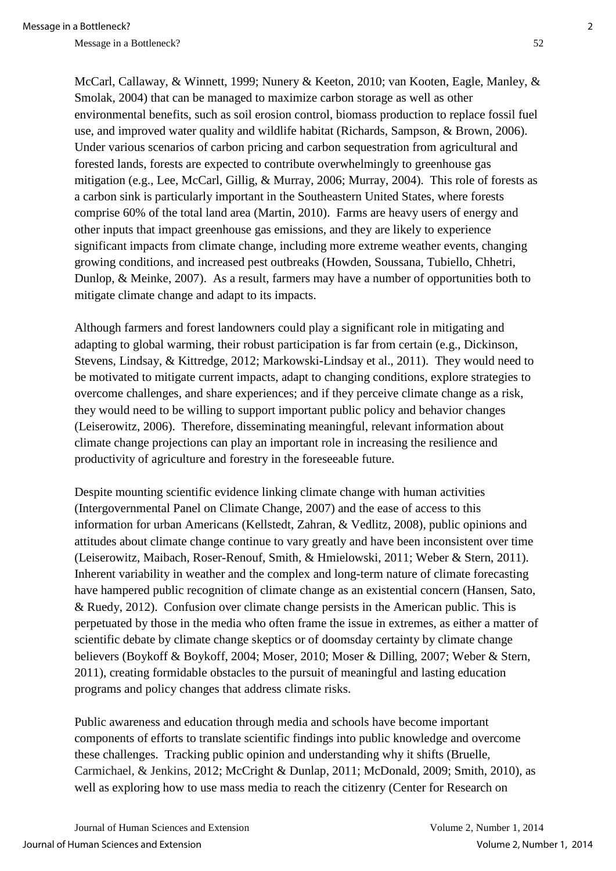McCarl, Callaway, & Winnett, 1999; Nunery & Keeton, 2010; van Kooten, Eagle, Manley, & Smolak, 2004) that can be managed to maximize carbon storage as well as other environmental benefits, such as soil erosion control, biomass production to replace fossil fuel use, and improved water quality and wildlife habitat (Richards, Sampson, & Brown, 2006). Under various scenarios of carbon pricing and carbon sequestration from agricultural and forested lands, forests are expected to contribute overwhelmingly to greenhouse gas mitigation (e.g., Lee, McCarl, Gillig, & Murray, 2006; Murray, 2004). This role of forests as a carbon sink is particularly important in the Southeastern United States, where forests comprise 60% of the total land area (Martin, 2010). Farms are heavy users of energy and other inputs that impact greenhouse gas emissions, and they are likely to experience significant impacts from climate change, including more extreme weather events, changing growing conditions, and increased pest outbreaks (Howden, Soussana, Tubiello, Chhetri, Dunlop, & Meinke, 2007). As a result, farmers may have a number of opportunities both to mitigate climate change and adapt to its impacts.

Although farmers and forest landowners could play a significant role in mitigating and adapting to global warming, their robust participation is far from certain (e.g., Dickinson, Stevens, Lindsay, & Kittredge, 2012; Markowski-Lindsay et al., 2011). They would need to be motivated to mitigate current impacts, adapt to changing conditions, explore strategies to overcome challenges, and share experiences; and if they perceive climate change as a risk, they would need to be willing to support important public policy and behavior changes (Leiserowitz, 2006). Therefore, disseminating meaningful, relevant information about climate change projections can play an important role in increasing the resilience and productivity of agriculture and forestry in the foreseeable future.

Despite mounting scientific evidence linking climate change with human activities (Intergovernmental Panel on Climate Change, 2007) and the ease of access to this information for urban Americans (Kellstedt, Zahran, & Vedlitz, 2008), public opinions and attitudes about climate change continue to vary greatly and have been inconsistent over time (Leiserowitz, Maibach, Roser-Renouf, Smith, & Hmielowski, 2011; Weber & Stern, 2011). Inherent variability in weather and the complex and long-term nature of climate forecasting have hampered public recognition of climate change as an existential concern (Hansen, Sato, & Ruedy, 2012). Confusion over climate change persists in the American public. This is perpetuated by those in the media who often frame the issue in extremes, as either a matter of scientific debate by climate change skeptics or of doomsday certainty by climate change believers (Boykoff & Boykoff, 2004; Moser, 2010; Moser & Dilling, 2007; Weber & Stern, 2011), creating formidable obstacles to the pursuit of meaningful and lasting education programs and policy changes that address climate risks.

Public awareness and education through media and schools have become important components of efforts to translate scientific findings into public knowledge and overcome these challenges. Tracking public opinion and understanding why it shifts (Bruelle, Carmichael, & Jenkins, 2012; McCright & Dunlap, 2011; McDonald, 2009; Smith, 2010), as well as exploring how to use mass media to reach the citizenry (Center for Research on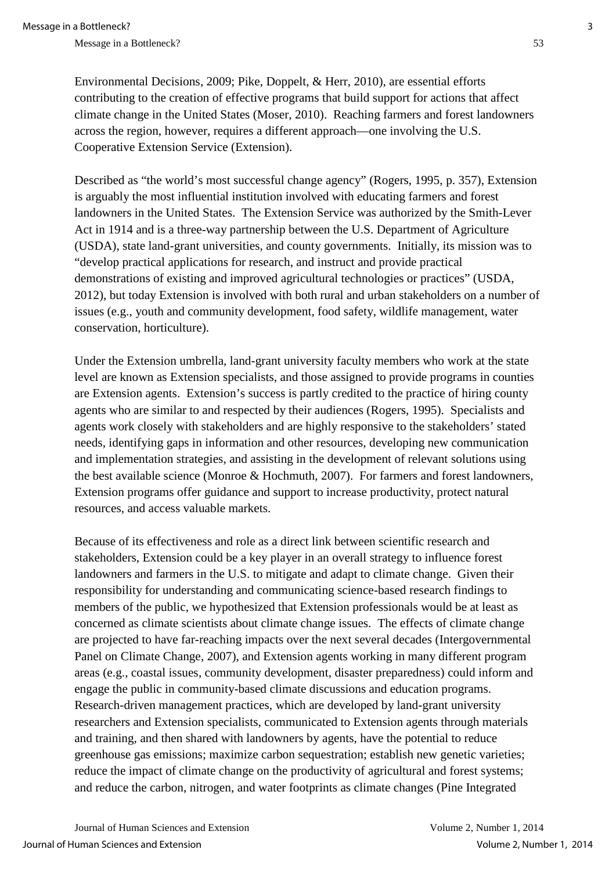Environmental Decisions, 2009; Pike, Doppelt, & Herr, 2010), are essential efforts contributing to the creation of effective programs that build support for actions that affect climate change in the United States (Moser, 2010). Reaching farmers and forest landowners across the region, however, requires a different approach—one involving the U.S. Cooperative Extension Service (Extension).

Described as "the world's most successful change agency" (Rogers, 1995, p. 357), Extension is arguably the most influential institution involved with educating farmers and forest landowners in the United States. The Extension Service was authorized by the Smith-Lever Act in 1914 and is a three-way partnership between the U.S. Department of Agriculture (USDA), state land-grant universities, and county governments. Initially, its mission was to "develop practical applications for research, and instruct and provide practical demonstrations of existing and improved agricultural technologies or practices" (USDA, 2012), but today Extension is involved with both rural and urban stakeholders on a number of issues (e.g., youth and community development, food safety, wildlife management, water conservation, horticulture).

Under the Extension umbrella, land-grant university faculty members who work at the state level are known as Extension specialists, and those assigned to provide programs in counties are Extension agents. Extension's success is partly credited to the practice of hiring county agents who are similar to and respected by their audiences (Rogers, 1995). Specialists and agents work closely with stakeholders and are highly responsive to the stakeholders' stated needs, identifying gaps in information and other resources, developing new communication and implementation strategies, and assisting in the development of relevant solutions using the best available science (Monroe & Hochmuth, 2007). For farmers and forest landowners, Extension programs offer guidance and support to increase productivity, protect natural resources, and access valuable markets.

Because of its effectiveness and role as a direct link between scientific research and stakeholders, Extension could be a key player in an overall strategy to influence forest landowners and farmers in the U.S. to mitigate and adapt to climate change. Given their responsibility for understanding and communicating science-based research findings to members of the public, we hypothesized that Extension professionals would be at least as concerned as climate scientists about climate change issues. The effects of climate change are projected to have far-reaching impacts over the next several decades (Intergovernmental Panel on Climate Change, 2007), and Extension agents working in many different program areas (e.g., coastal issues, community development, disaster preparedness) could inform and engage the public in community-based climate discussions and education programs. Research-driven management practices, which are developed by land-grant university researchers and Extension specialists, communicated to Extension agents through materials and training, and then shared with landowners by agents, have the potential to reduce greenhouse gas emissions; maximize carbon sequestration; establish new genetic varieties; reduce the impact of climate change on the productivity of agricultural and forest systems; and reduce the carbon, nitrogen, and water footprints as climate changes (Pine Integrated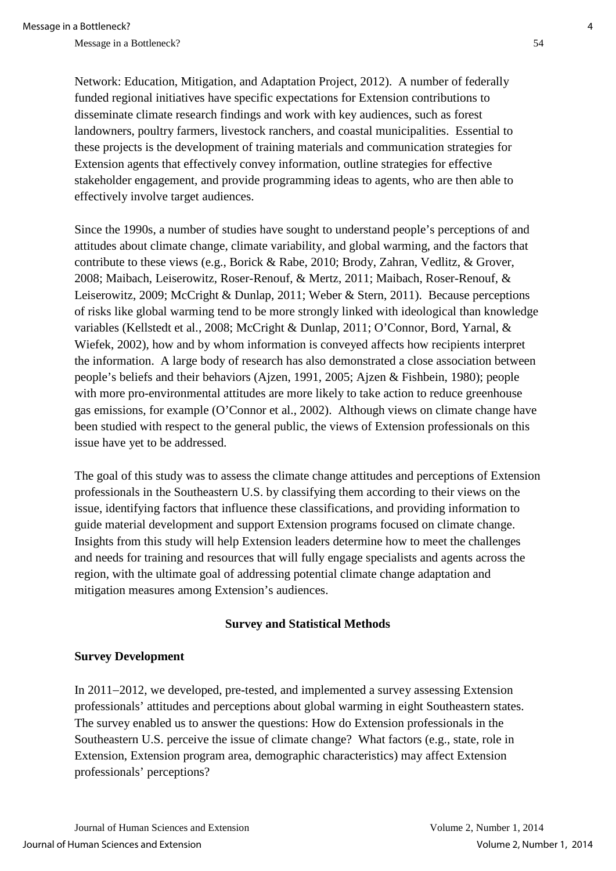Network: Education, Mitigation, and Adaptation Project, 2012). A number of federally funded regional initiatives have specific expectations for Extension contributions to disseminate climate research findings and work with key audiences, such as forest landowners, poultry farmers, livestock ranchers, and coastal municipalities. Essential to these projects is the development of training materials and communication strategies for Extension agents that effectively convey information, outline strategies for effective stakeholder engagement, and provide programming ideas to agents, who are then able to effectively involve target audiences.

Since the 1990s, a number of studies have sought to understand people's perceptions of and attitudes about climate change, climate variability, and global warming, and the factors that contribute to these views (e.g., Borick & Rabe, 2010; Brody, Zahran, Vedlitz, & Grover, 2008; Maibach, Leiserowitz, Roser-Renouf, & Mertz, 2011; Maibach, Roser-Renouf, & Leiserowitz, 2009; McCright & Dunlap, 2011; Weber & Stern, 2011). Because perceptions of risks like global warming tend to be more strongly linked with ideological than knowledge variables (Kellstedt et al., 2008; McCright & Dunlap, 2011; O'Connor, Bord, Yarnal, & Wiefek, 2002), how and by whom information is conveyed affects how recipients interpret the information. A large body of research has also demonstrated a close association between people's beliefs and their behaviors (Ajzen, 1991, 2005; Ajzen & Fishbein, 1980); people with more pro-environmental attitudes are more likely to take action to reduce greenhouse gas emissions, for example (O'Connor et al., 2002). Although views on climate change have been studied with respect to the general public, the views of Extension professionals on this issue have yet to be addressed.

The goal of this study was to assess the climate change attitudes and perceptions of Extension professionals in the Southeastern U.S. by classifying them according to their views on the issue, identifying factors that influence these classifications, and providing information to guide material development and support Extension programs focused on climate change. Insights from this study will help Extension leaders determine how to meet the challenges and needs for training and resources that will fully engage specialists and agents across the region, with the ultimate goal of addressing potential climate change adaptation and mitigation measures among Extension's audiences.

### **Survey and Statistical Methods**

## **Survey Development**

In 2011−2012, we developed, pre-tested, and implemented a survey assessing Extension professionals' attitudes and perceptions about global warming in eight Southeastern states. The survey enabled us to answer the questions: How do Extension professionals in the Southeastern U.S. perceive the issue of climate change? What factors (e.g., state, role in Extension, Extension program area, demographic characteristics) may affect Extension professionals' perceptions?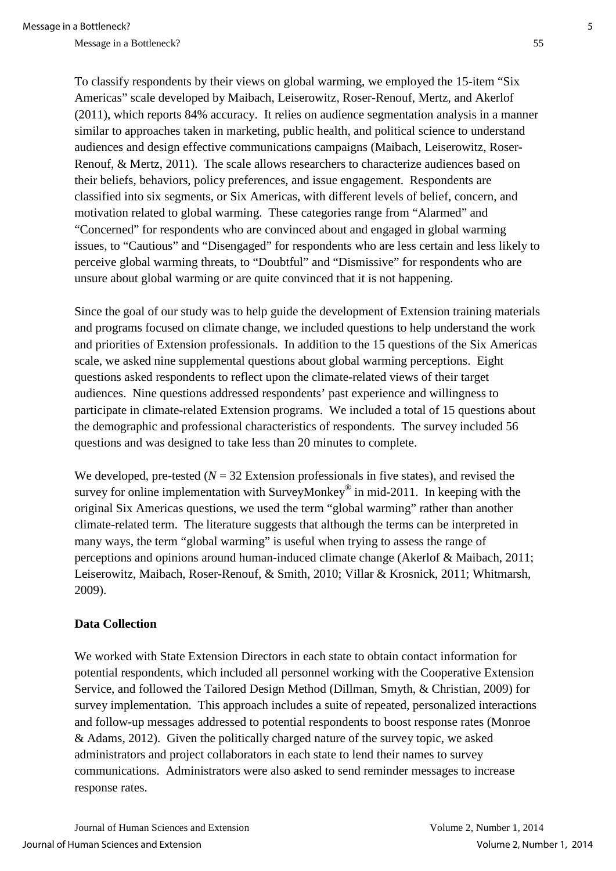To classify respondents by their views on global warming, we employed the 15-item "Six Americas" scale developed by Maibach, Leiserowitz, Roser-Renouf, Mertz, and Akerlof (2011), which reports 84% accuracy. It relies on audience segmentation analysis in a manner similar to approaches taken in marketing, public health, and political science to understand audiences and design effective communications campaigns (Maibach, Leiserowitz, Roser-Renouf, & Mertz, 2011). The scale allows researchers to characterize audiences based on their beliefs, behaviors, policy preferences, and issue engagement. Respondents are classified into six segments, or Six Americas, with different levels of belief, concern, and motivation related to global warming. These categories range from "Alarmed" and "Concerned" for respondents who are convinced about and engaged in global warming issues, to "Cautious" and "Disengaged" for respondents who are less certain and less likely to perceive global warming threats, to "Doubtful" and "Dismissive" for respondents who are unsure about global warming or are quite convinced that it is not happening.

Since the goal of our study was to help guide the development of Extension training materials and programs focused on climate change, we included questions to help understand the work and priorities of Extension professionals. In addition to the 15 questions of the Six Americas scale, we asked nine supplemental questions about global warming perceptions. Eight questions asked respondents to reflect upon the climate-related views of their target audiences. Nine questions addressed respondents' past experience and willingness to participate in climate-related Extension programs. We included a total of 15 questions about the demographic and professional characteristics of respondents. The survey included 56 questions and was designed to take less than 20 minutes to complete.

We developed, pre-tested  $(N = 32$  Extension professionals in five states), and revised the survey for online implementation with SurveyMonkey<sup>®</sup> in mid-2011. In keeping with the original Six Americas questions, we used the term "global warming" rather than another climate-related term. The literature suggests that although the terms can be interpreted in many ways, the term "global warming" is useful when trying to assess the range of perceptions and opinions around human-induced climate change (Akerlof & Maibach, 2011; Leiserowitz, Maibach, Roser-Renouf, & Smith, 2010; Villar & Krosnick, 2011; Whitmarsh, 2009).

## **Data Collection**

We worked with State Extension Directors in each state to obtain contact information for potential respondents, which included all personnel working with the Cooperative Extension Service, and followed the Tailored Design Method (Dillman, Smyth, & Christian, 2009) for survey implementation. This approach includes a suite of repeated, personalized interactions and follow-up messages addressed to potential respondents to boost response rates (Monroe & Adams, 2012). Given the politically charged nature of the survey topic, we asked administrators and project collaborators in each state to lend their names to survey communications. Administrators were also asked to send reminder messages to increase response rates.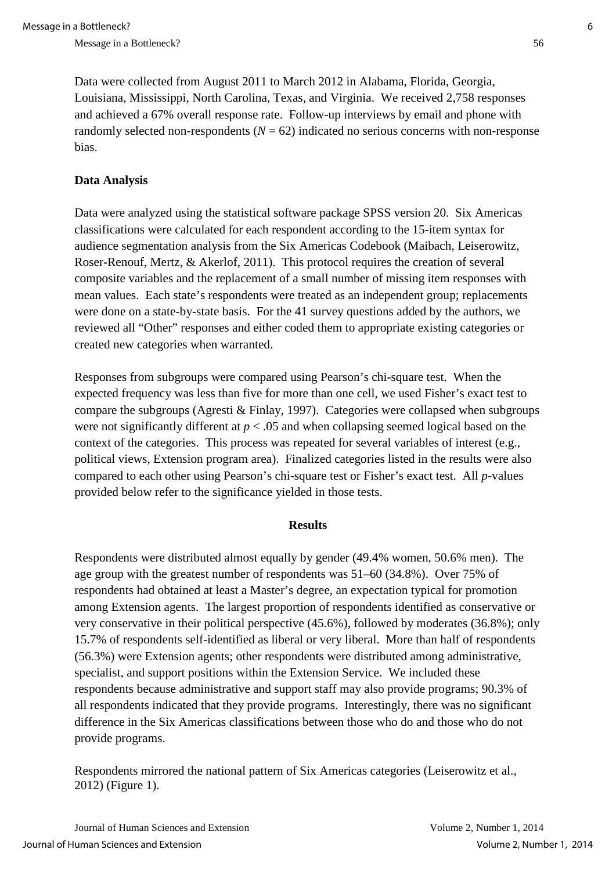Data were collected from August 2011 to March 2012 in Alabama, Florida, Georgia, Louisiana, Mississippi, North Carolina, Texas, and Virginia. We received 2,758 responses and achieved a 67% overall response rate. Follow-up interviews by email and phone with randomly selected non-respondents  $(N = 62)$  indicated no serious concerns with non-response bias.

## **Data Analysis**

Data were analyzed using the statistical software package SPSS version 20. Six Americas classifications were calculated for each respondent according to the 15-item syntax for audience segmentation analysis from the Six Americas Codebook (Maibach, Leiserowitz, Roser-Renouf, Mertz, & Akerlof, 2011). This protocol requires the creation of several composite variables and the replacement of a small number of missing item responses with mean values. Each state's respondents were treated as an independent group; replacements were done on a state-by-state basis. For the 41 survey questions added by the authors, we reviewed all "Other" responses and either coded them to appropriate existing categories or created new categories when warranted.

Responses from subgroups were compared using Pearson's chi-square test. When the expected frequency was less than five for more than one cell, we used Fisher's exact test to compare the subgroups (Agresti & Finlay, 1997). Categories were collapsed when subgroups were not significantly different at  $p < .05$  and when collapsing seemed logical based on the context of the categories. This process was repeated for several variables of interest (e.g., political views, Extension program area). Finalized categories listed in the results were also compared to each other using Pearson's chi-square test or Fisher's exact test. All *p*-values provided below refer to the significance yielded in those tests.

#### **Results**

Respondents were distributed almost equally by gender (49.4% women, 50.6% men). The age group with the greatest number of respondents was 51–60 (34.8%). Over 75% of respondents had obtained at least a Master's degree, an expectation typical for promotion among Extension agents. The largest proportion of respondents identified as conservative or very conservative in their political perspective (45.6%), followed by moderates (36.8%); only 15.7% of respondents self-identified as liberal or very liberal. More than half of respondents (56.3%) were Extension agents; other respondents were distributed among administrative, specialist, and support positions within the Extension Service. We included these respondents because administrative and support staff may also provide programs; 90.3% of all respondents indicated that they provide programs. Interestingly, there was no significant difference in the Six Americas classifications between those who do and those who do not provide programs.

Respondents mirrored the national pattern of Six Americas categories (Leiserowitz et al., 2012) (Figure 1).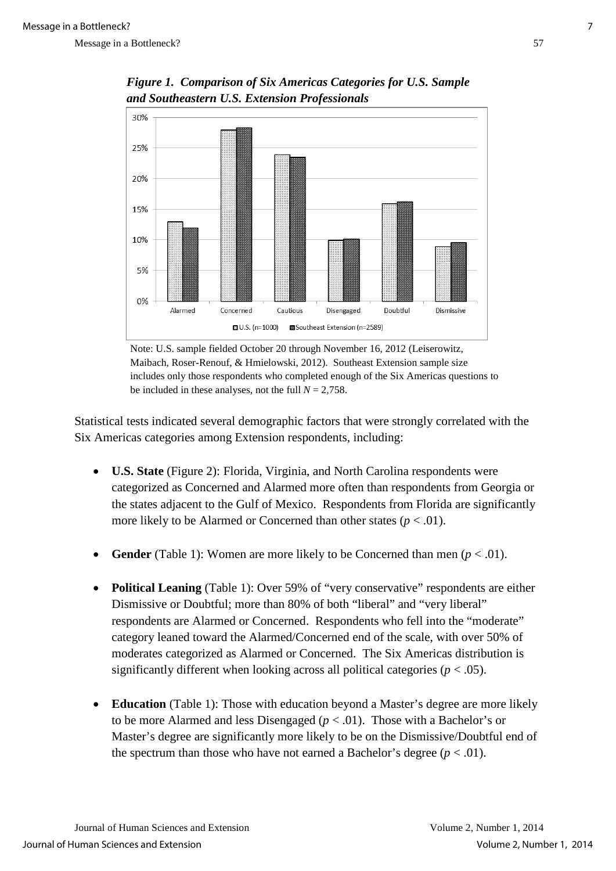

*Figure 1. Comparison of Six Americas Categories for U.S. Sample and Southeastern U.S. Extension Professionals* 

Note: U.S. sample fielded October 20 through November 16, 2012 (Leiserowitz, Maibach, Roser-Renouf, & Hmielowski, 2012). Southeast Extension sample size includes only those respondents who completed enough of the Six Americas questions to be included in these analyses, not the full  $N = 2,758$ .

Statistical tests indicated several demographic factors that were strongly correlated with the Six Americas categories among Extension respondents, including:

- **U.S. State** (Figure 2): Florida, Virginia, and North Carolina respondents were categorized as Concerned and Alarmed more often than respondents from Georgia or the states adjacent to the Gulf of Mexico. Respondents from Florida are significantly more likely to be Alarmed or Concerned than other states  $(p < .01)$ .
- **Gender** (Table 1): Women are more likely to be Concerned than men  $(p < .01)$ .
- **Political Leaning** (Table 1): Over 59% of "very conservative" respondents are either Dismissive or Doubtful; more than 80% of both "liberal" and "very liberal" respondents are Alarmed or Concerned. Respondents who fell into the "moderate" category leaned toward the Alarmed/Concerned end of the scale, with over 50% of moderates categorized as Alarmed or Concerned. The Six Americas distribution is significantly different when looking across all political categories  $(p < .05)$ .
- **Education** (Table 1): Those with education beyond a Master's degree are more likely to be more Alarmed and less Disengaged  $(p < .01)$ . Those with a Bachelor's or Master's degree are significantly more likely to be on the Dismissive/Doubtful end of the spectrum than those who have not earned a Bachelor's degree  $(p < .01)$ .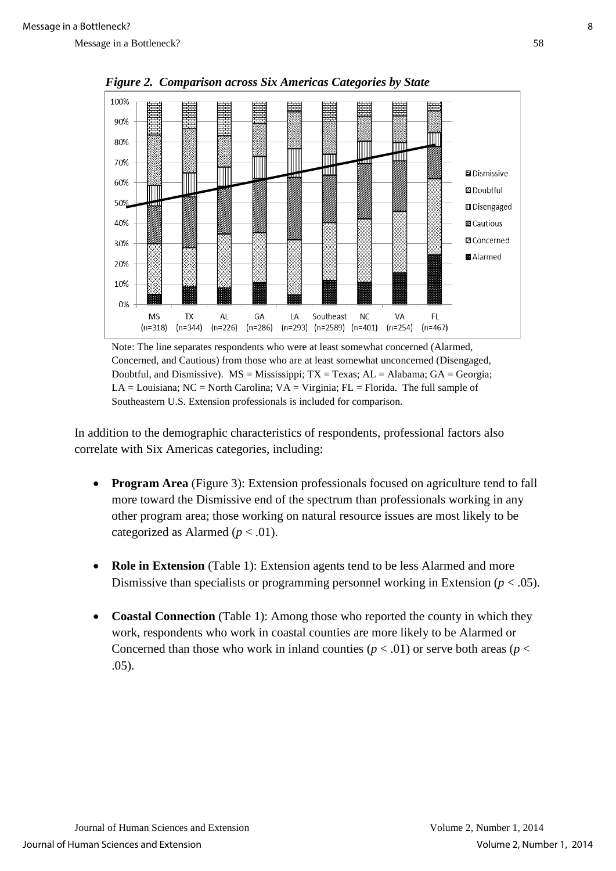

 *Figure 2. Comparison across Six Americas Categories by State*

Note: The line separates respondents who were at least somewhat concerned (Alarmed, Concerned, and Cautious) from those who are at least somewhat unconcerned (Disengaged, Doubtful, and Dismissive).  $MS = Mississippi$ ;  $TX = Texas$ ;  $AL = Alabama$ ;  $GA = Georgia$ ; LA = Louisiana; NC = North Carolina;  $VA = Virginia$ ; FL = Florida. The full sample of Southeastern U.S. Extension professionals is included for comparison.

In addition to the demographic characteristics of respondents, professional factors also correlate with Six Americas categories, including:

- **Program Area** (Figure 3): Extension professionals focused on agriculture tend to fall more toward the Dismissive end of the spectrum than professionals working in any other program area; those working on natural resource issues are most likely to be categorized as Alarmed  $(p < .01)$ .
- **Role in Extension** (Table 1): Extension agents tend to be less Alarmed and more Dismissive than specialists or programming personnel working in Extension (*p* < .05).
- **Coastal Connection** (Table 1): Among those who reported the county in which they work, respondents who work in coastal counties are more likely to be Alarmed or Concerned than those who work in inland counties ( $p < .01$ ) or serve both areas ( $p <$ .05).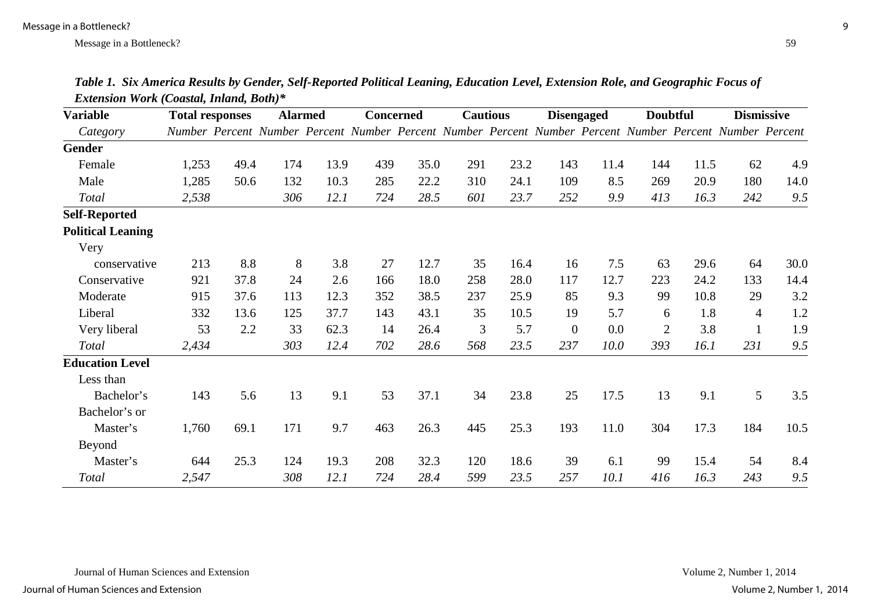| <b>Variable</b>          | <b>Total responses</b> |      | <b>Alarmed</b> |      | <b>Concerned</b> |      | <b>Cautious</b> |      | <b>Disengaged</b> |      | <b>Doubtful</b>                                                                                          |      | <b>Dismissive</b> |      |
|--------------------------|------------------------|------|----------------|------|------------------|------|-----------------|------|-------------------|------|----------------------------------------------------------------------------------------------------------|------|-------------------|------|
| Category                 |                        |      |                |      |                  |      |                 |      |                   |      | Number Percent Number Percent Number Percent Number Percent Number Percent Number Percent Number Percent |      |                   |      |
| Gender                   |                        |      |                |      |                  |      |                 |      |                   |      |                                                                                                          |      |                   |      |
| Female                   | 1,253                  | 49.4 | 174            | 13.9 | 439              | 35.0 | 291             | 23.2 | 143               | 11.4 | 144                                                                                                      | 11.5 | 62                | 4.9  |
| Male                     | 1,285                  | 50.6 | 132            | 10.3 | 285              | 22.2 | 310             | 24.1 | 109               | 8.5  | 269                                                                                                      | 20.9 | 180               | 14.0 |
| <b>Total</b>             | 2,538                  |      | 306            | 12.1 | 724              | 28.5 | 601             | 23.7 | 252               | 9.9  | 413                                                                                                      | 16.3 | 242               | 9.5  |
| <b>Self-Reported</b>     |                        |      |                |      |                  |      |                 |      |                   |      |                                                                                                          |      |                   |      |
| <b>Political Leaning</b> |                        |      |                |      |                  |      |                 |      |                   |      |                                                                                                          |      |                   |      |
| Very                     |                        |      |                |      |                  |      |                 |      |                   |      |                                                                                                          |      |                   |      |
| conservative             | 213                    | 8.8  | 8              | 3.8  | 27               | 12.7 | 35              | 16.4 | 16                | 7.5  | 63                                                                                                       | 29.6 | 64                | 30.0 |
| Conservative             | 921                    | 37.8 | 24             | 2.6  | 166              | 18.0 | 258             | 28.0 | 117               | 12.7 | 223                                                                                                      | 24.2 | 133               | 14.4 |
| Moderate                 | 915                    | 37.6 | 113            | 12.3 | 352              | 38.5 | 237             | 25.9 | 85                | 9.3  | 99                                                                                                       | 10.8 | 29                | 3.2  |
| Liberal                  | 332                    | 13.6 | 125            | 37.7 | 143              | 43.1 | 35              | 10.5 | 19                | 5.7  | 6                                                                                                        | 1.8  | $\overline{4}$    | 1.2  |
| Very liberal             | 53                     | 2.2  | 33             | 62.3 | 14               | 26.4 | 3               | 5.7  | $\boldsymbol{0}$  | 0.0  | $\mathbf{2}$                                                                                             | 3.8  | $\mathbf{1}$      | 1.9  |
| Total                    | 2,434                  |      | 303            | 12.4 | 702              | 28.6 | 568             | 23.5 | 237               | 10.0 | 393                                                                                                      | 16.1 | 231               | 9.5  |
| <b>Education Level</b>   |                        |      |                |      |                  |      |                 |      |                   |      |                                                                                                          |      |                   |      |
| Less than                |                        |      |                |      |                  |      |                 |      |                   |      |                                                                                                          |      |                   |      |
| Bachelor's               | 143                    | 5.6  | 13             | 9.1  | 53               | 37.1 | 34              | 23.8 | 25                | 17.5 | 13                                                                                                       | 9.1  | 5                 | 3.5  |
| Bachelor's or            |                        |      |                |      |                  |      |                 |      |                   |      |                                                                                                          |      |                   |      |
| Master's                 | 1,760                  | 69.1 | 171            | 9.7  | 463              | 26.3 | 445             | 25.3 | 193               | 11.0 | 304                                                                                                      | 17.3 | 184               | 10.5 |
| Beyond                   |                        |      |                |      |                  |      |                 |      |                   |      |                                                                                                          |      |                   |      |
| Master's                 | 644                    | 25.3 | 124            | 19.3 | 208              | 32.3 | 120             | 18.6 | 39                | 6.1  | 99                                                                                                       | 15.4 | 54                | 8.4  |
| <b>Total</b>             | 2,547                  |      | 308            | 12.1 | 724              | 28.4 | 599             | 23.5 | 257               | 10.1 | 416                                                                                                      | 16.3 | 243               | 9.5  |

*Table 1. Six America Results by Gender, Self-Reported Political Leaning, Education Level, Extension Role, and Geographic Focus of Extension Work (Coastal, Inland, Both)\**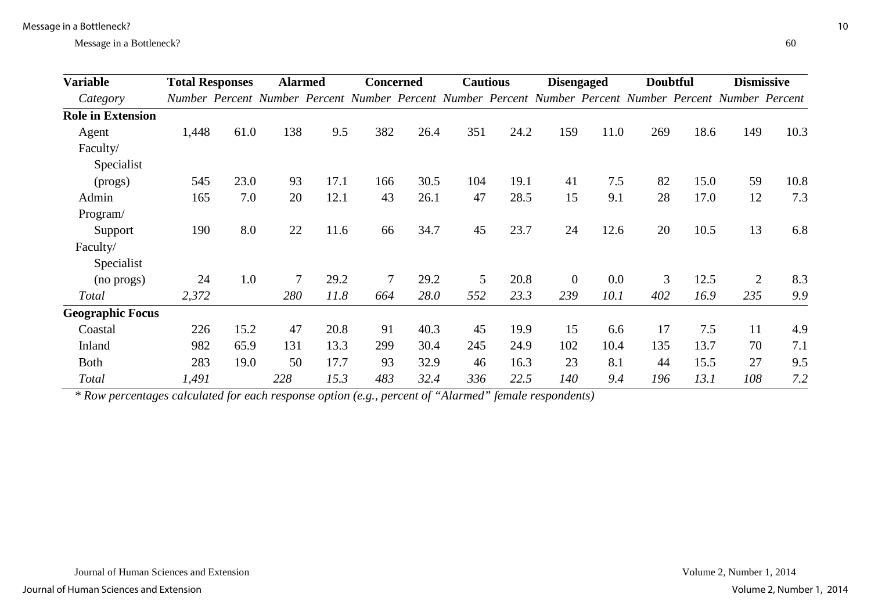| <b>Variable</b>          | <b>Total Responses</b> |      | <b>Alarmed</b> |      | <b>Concerned</b> |             | <b>Cautious</b> |      | <b>Disengaged</b>                                                                                        |         | <b>Doubtful</b> |      | <b>Dismissive</b> |      |
|--------------------------|------------------------|------|----------------|------|------------------|-------------|-----------------|------|----------------------------------------------------------------------------------------------------------|---------|-----------------|------|-------------------|------|
| Category                 |                        |      |                |      |                  |             |                 |      | Number Percent Number Percent Number Percent Number Percent Number Percent Number Percent Number Percent |         |                 |      |                   |      |
| <b>Role in Extension</b> |                        |      |                |      |                  |             |                 |      |                                                                                                          |         |                 |      |                   |      |
| Agent                    | 1,448                  | 61.0 | 138            | 9.5  | 382              | 26.4        | 351             | 24.2 | 159                                                                                                      | 11.0    | 269             | 18.6 | 149               | 10.3 |
| Faculty/                 |                        |      |                |      |                  |             |                 |      |                                                                                                          |         |                 |      |                   |      |
| Specialist               |                        |      |                |      |                  |             |                 |      |                                                                                                          |         |                 |      |                   |      |
| (progs)                  | 545                    | 23.0 | 93             | 17.1 | 166              | 30.5        | 104             | 19.1 | 41                                                                                                       | 7.5     | 82              | 15.0 | 59                | 10.8 |
| Admin                    | 165                    | 7.0  | 20             | 12.1 | 43               | 26.1        | 47              | 28.5 | 15                                                                                                       | 9.1     | 28              | 17.0 | 12                | 7.3  |
| Program/                 |                        |      |                |      |                  |             |                 |      |                                                                                                          |         |                 |      |                   |      |
| Support                  | 190                    | 8.0  | 22             | 11.6 | 66               | 34.7        | 45              | 23.7 | 24                                                                                                       | 12.6    | 20              | 10.5 | 13                | 6.8  |
| Faculty/                 |                        |      |                |      |                  |             |                 |      |                                                                                                          |         |                 |      |                   |      |
| Specialist               |                        |      |                |      |                  |             |                 |      |                                                                                                          |         |                 |      |                   |      |
| (no progs)               | 24                     | 1.0  | $\overline{7}$ | 29.2 | $\overline{7}$   | 29.2        | 5               | 20.8 | $\boldsymbol{0}$                                                                                         | $0.0\,$ | 3               | 12.5 | $\overline{2}$    | 8.3  |
| Total                    | 2,372                  |      | 280            | 11.8 | 664              | <i>28.0</i> | 552             | 23.3 | 239                                                                                                      | 10.1    | 402             | 16.9 | 235               | 9.9  |
| <b>Geographic Focus</b>  |                        |      |                |      |                  |             |                 |      |                                                                                                          |         |                 |      |                   |      |
| Coastal                  | 226                    | 15.2 | 47             | 20.8 | 91               | 40.3        | 45              | 19.9 | 15                                                                                                       | 6.6     | 17              | 7.5  | 11                | 4.9  |
| Inland                   | 982                    | 65.9 | 131            | 13.3 | 299              | 30.4        | 245             | 24.9 | 102                                                                                                      | 10.4    | 135             | 13.7 | 70                | 7.1  |
| <b>Both</b>              | 283                    | 19.0 | 50             | 17.7 | 93               | 32.9        | 46              | 16.3 | 23                                                                                                       | 8.1     | 44              | 15.5 | 27                | 9.5  |
| Total                    | 1,491                  |      | 228            | 15.3 | 483              | 32.4        | 336             | 22.5 | 140                                                                                                      | 9.4     | 196             | 13.1 | 108               | 7.2  |

*\* Row percentages calculated for each response option (e.g., percent of "Alarmed" female respondents)*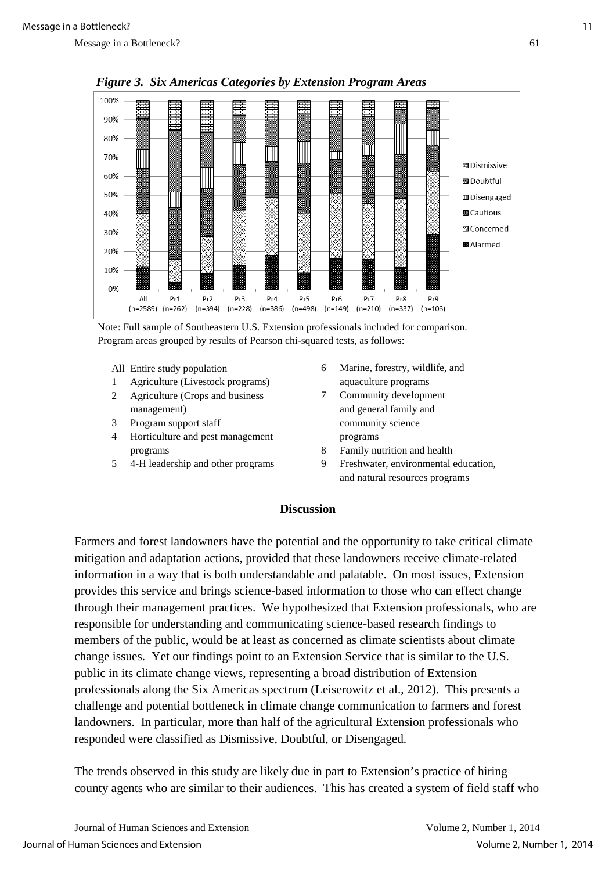

 *Figure 3. Six Americas Categories by Extension Program Areas*



- All Entire study population
- 1 Agriculture (Livestock programs)
- 2 Agriculture (Crops and business management)
- 3 Program support staff
- 4 Horticulture and pest management programs
- 5 4-H leadership and other programs
- 6 Marine, forestry, wildlife, and aquaculture programs
- 7 Community development and general family and community science programs
- 8 Family nutrition and health
- 9 Freshwater, environmental education, and natural resources programs

### **Discussion**

Farmers and forest landowners have the potential and the opportunity to take critical climate mitigation and adaptation actions, provided that these landowners receive climate-related information in a way that is both understandable and palatable. On most issues, Extension provides this service and brings science-based information to those who can effect change through their management practices. We hypothesized that Extension professionals, who are responsible for understanding and communicating science-based research findings to members of the public, would be at least as concerned as climate scientists about climate change issues. Yet our findings point to an Extension Service that is similar to the U.S. public in its climate change views, representing a broad distribution of Extension professionals along the Six Americas spectrum (Leiserowitz et al., 2012). This presents a challenge and potential bottleneck in climate change communication to farmers and forest landowners. In particular, more than half of the agricultural Extension professionals who responded were classified as Dismissive, Doubtful, or Disengaged.

The trends observed in this study are likely due in part to Extension's practice of hiring county agents who are similar to their audiences. This has created a system of field staff who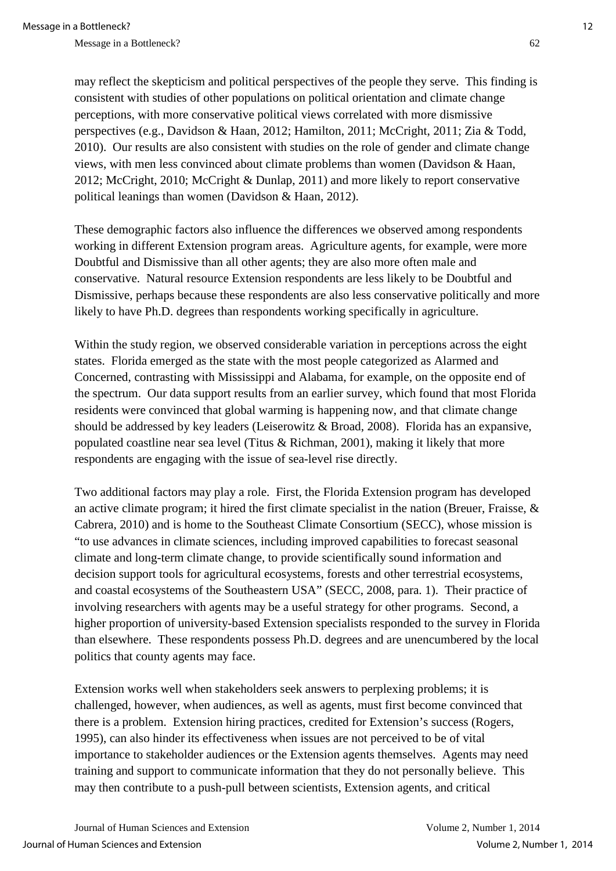may reflect the skepticism and political perspectives of the people they serve. This finding is consistent with studies of other populations on political orientation and climate change perceptions, with more conservative political views correlated with more dismissive perspectives (e.g., Davidson & Haan, 2012; Hamilton, 2011; McCright, 2011; Zia & Todd, 2010). Our results are also consistent with studies on the role of gender and climate change views, with men less convinced about climate problems than women (Davidson & Haan, 2012; McCright, 2010; McCright & Dunlap, 2011) and more likely to report conservative political leanings than women (Davidson & Haan, 2012).

These demographic factors also influence the differences we observed among respondents working in different Extension program areas. Agriculture agents, for example, were more Doubtful and Dismissive than all other agents; they are also more often male and conservative. Natural resource Extension respondents are less likely to be Doubtful and Dismissive, perhaps because these respondents are also less conservative politically and more likely to have Ph.D. degrees than respondents working specifically in agriculture.

Within the study region, we observed considerable variation in perceptions across the eight states. Florida emerged as the state with the most people categorized as Alarmed and Concerned, contrasting with Mississippi and Alabama, for example, on the opposite end of the spectrum. Our data support results from an earlier survey, which found that most Florida residents were convinced that global warming is happening now, and that climate change should be addressed by key leaders (Leiserowitz & Broad, 2008). Florida has an expansive, populated coastline near sea level (Titus & Richman, 2001), making it likely that more respondents are engaging with the issue of sea-level rise directly.

Two additional factors may play a role. First, the Florida Extension program has developed an active climate program; it hired the first climate specialist in the nation (Breuer, Fraisse, & Cabrera, 2010) and is home to the Southeast Climate Consortium (SECC), whose mission is "to use advances in climate sciences, including improved capabilities to forecast seasonal climate and long-term climate change, to provide scientifically sound information and decision support tools for agricultural ecosystems, forests and other terrestrial ecosystems, and coastal ecosystems of the Southeastern USA" (SECC, 2008, para. 1). Their practice of involving researchers with agents may be a useful strategy for other programs. Second, a higher proportion of university-based Extension specialists responded to the survey in Florida than elsewhere. These respondents possess Ph.D. degrees and are unencumbered by the local politics that county agents may face.

Extension works well when stakeholders seek answers to perplexing problems; it is challenged, however, when audiences, as well as agents, must first become convinced that there is a problem. Extension hiring practices, credited for Extension's success (Rogers, 1995), can also hinder its effectiveness when issues are not perceived to be of vital importance to stakeholder audiences or the Extension agents themselves. Agents may need training and support to communicate information that they do not personally believe. This may then contribute to a push-pull between scientists, Extension agents, and critical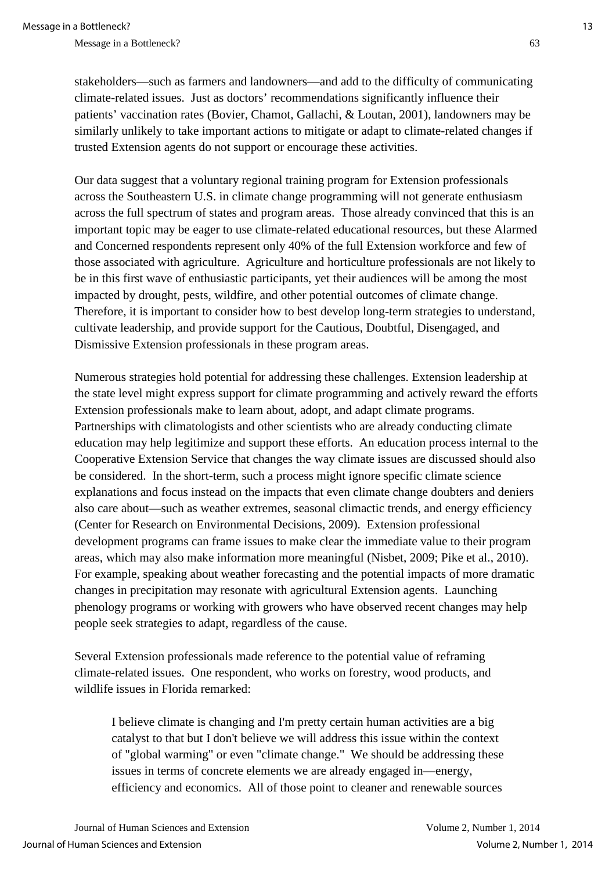stakeholders—such as farmers and landowners—and add to the difficulty of communicating climate-related issues. Just as doctors' recommendations significantly influence their patients' vaccination rates (Bovier, Chamot, Gallachi, & Loutan, 2001), landowners may be similarly unlikely to take important actions to mitigate or adapt to climate-related changes if trusted Extension agents do not support or encourage these activities.

Our data suggest that a voluntary regional training program for Extension professionals across the Southeastern U.S. in climate change programming will not generate enthusiasm across the full spectrum of states and program areas. Those already convinced that this is an important topic may be eager to use climate-related educational resources, but these Alarmed and Concerned respondents represent only 40% of the full Extension workforce and few of those associated with agriculture. Agriculture and horticulture professionals are not likely to be in this first wave of enthusiastic participants, yet their audiences will be among the most impacted by drought, pests, wildfire, and other potential outcomes of climate change. Therefore, it is important to consider how to best develop long-term strategies to understand, cultivate leadership, and provide support for the Cautious, Doubtful, Disengaged, and Dismissive Extension professionals in these program areas.

Numerous strategies hold potential for addressing these challenges. Extension leadership at the state level might express support for climate programming and actively reward the efforts Extension professionals make to learn about, adopt, and adapt climate programs. Partnerships with climatologists and other scientists who are already conducting climate education may help legitimize and support these efforts. An education process internal to the Cooperative Extension Service that changes the way climate issues are discussed should also be considered. In the short-term, such a process might ignore specific climate science explanations and focus instead on the impacts that even climate change doubters and deniers also care about—such as weather extremes, seasonal climactic trends, and energy efficiency (Center for Research on Environmental Decisions, 2009). Extension professional development programs can frame issues to make clear the immediate value to their program areas, which may also make information more meaningful (Nisbet, 2009; Pike et al., 2010). For example, speaking about weather forecasting and the potential impacts of more dramatic changes in precipitation may resonate with agricultural Extension agents. Launching phenology programs or working with growers who have observed recent changes may help people seek strategies to adapt, regardless of the cause.

Several Extension professionals made reference to the potential value of reframing climate-related issues. One respondent, who works on forestry, wood products, and wildlife issues in Florida remarked:

I believe climate is changing and I'm pretty certain human activities are a big catalyst to that but I don't believe we will address this issue within the context of "global warming" or even "climate change." We should be addressing these issues in terms of concrete elements we are already engaged in—energy, efficiency and economics. All of those point to cleaner and renewable sources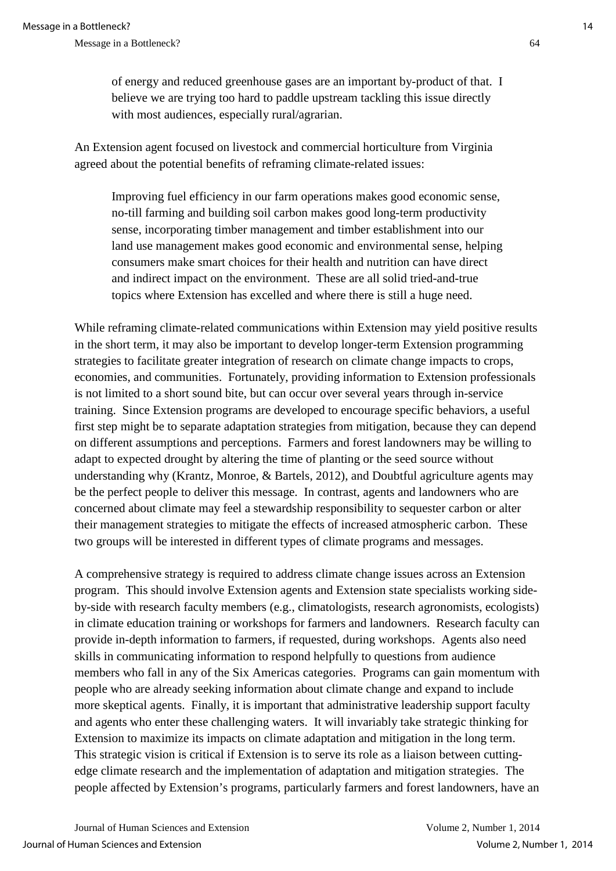of energy and reduced greenhouse gases are an important by-product of that. I believe we are trying too hard to paddle upstream tackling this issue directly with most audiences, especially rural/agrarian.

An Extension agent focused on livestock and commercial horticulture from Virginia agreed about the potential benefits of reframing climate-related issues:

Improving fuel efficiency in our farm operations makes good economic sense, no-till farming and building soil carbon makes good long-term productivity sense, incorporating timber management and timber establishment into our land use management makes good economic and environmental sense, helping consumers make smart choices for their health and nutrition can have direct and indirect impact on the environment. These are all solid tried-and-true topics where Extension has excelled and where there is still a huge need.

While reframing climate-related communications within Extension may yield positive results in the short term, it may also be important to develop longer-term Extension programming strategies to facilitate greater integration of research on climate change impacts to crops, economies, and communities. Fortunately, providing information to Extension professionals is not limited to a short sound bite, but can occur over several years through in-service training. Since Extension programs are developed to encourage specific behaviors, a useful first step might be to separate adaptation strategies from mitigation, because they can depend on different assumptions and perceptions. Farmers and forest landowners may be willing to adapt to expected drought by altering the time of planting or the seed source without understanding why (Krantz, Monroe, & Bartels, 2012), and Doubtful agriculture agents may be the perfect people to deliver this message. In contrast, agents and landowners who are concerned about climate may feel a stewardship responsibility to sequester carbon or alter their management strategies to mitigate the effects of increased atmospheric carbon. These two groups will be interested in different types of climate programs and messages.

A comprehensive strategy is required to address climate change issues across an Extension program. This should involve Extension agents and Extension state specialists working sideby-side with research faculty members (e.g., climatologists, research agronomists, ecologists) in climate education training or workshops for farmers and landowners. Research faculty can provide in-depth information to farmers, if requested, during workshops. Agents also need skills in communicating information to respond helpfully to questions from audience members who fall in any of the Six Americas categories. Programs can gain momentum with people who are already seeking information about climate change and expand to include more skeptical agents. Finally, it is important that administrative leadership support faculty and agents who enter these challenging waters. It will invariably take strategic thinking for Extension to maximize its impacts on climate adaptation and mitigation in the long term. This strategic vision is critical if Extension is to serve its role as a liaison between cuttingedge climate research and the implementation of adaptation and mitigation strategies. The people affected by Extension's programs, particularly farmers and forest landowners, have an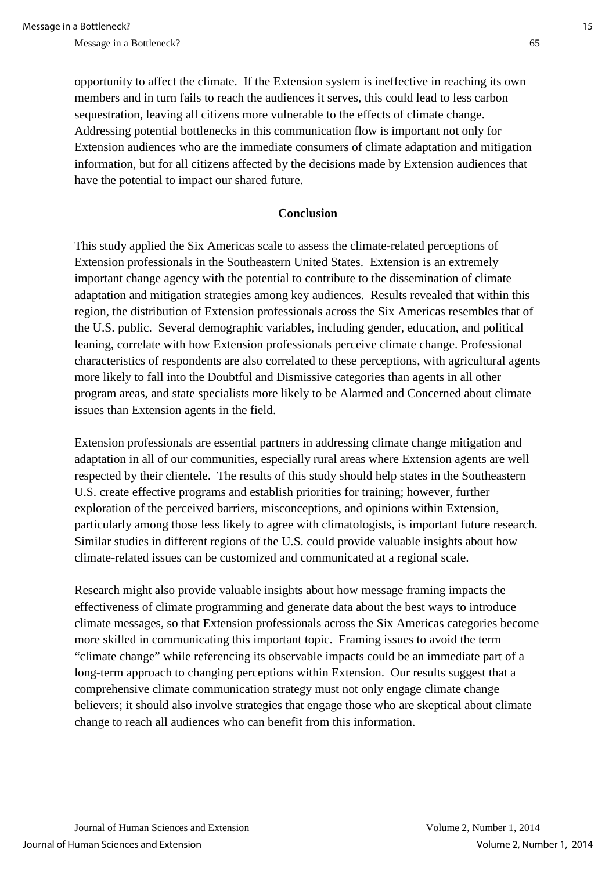opportunity to affect the climate. If the Extension system is ineffective in reaching its own members and in turn fails to reach the audiences it serves, this could lead to less carbon sequestration, leaving all citizens more vulnerable to the effects of climate change. Addressing potential bottlenecks in this communication flow is important not only for Extension audiences who are the immediate consumers of climate adaptation and mitigation information, but for all citizens affected by the decisions made by Extension audiences that have the potential to impact our shared future.

#### **Conclusion**

This study applied the Six Americas scale to assess the climate-related perceptions of Extension professionals in the Southeastern United States. Extension is an extremely important change agency with the potential to contribute to the dissemination of climate adaptation and mitigation strategies among key audiences. Results revealed that within this region, the distribution of Extension professionals across the Six Americas resembles that of the U.S. public. Several demographic variables, including gender, education, and political leaning, correlate with how Extension professionals perceive climate change. Professional characteristics of respondents are also correlated to these perceptions, with agricultural agents more likely to fall into the Doubtful and Dismissive categories than agents in all other program areas, and state specialists more likely to be Alarmed and Concerned about climate issues than Extension agents in the field.

Extension professionals are essential partners in addressing climate change mitigation and adaptation in all of our communities, especially rural areas where Extension agents are well respected by their clientele. The results of this study should help states in the Southeastern U.S. create effective programs and establish priorities for training; however, further exploration of the perceived barriers, misconceptions, and opinions within Extension, particularly among those less likely to agree with climatologists, is important future research. Similar studies in different regions of the U.S. could provide valuable insights about how climate-related issues can be customized and communicated at a regional scale.

Research might also provide valuable insights about how message framing impacts the effectiveness of climate programming and generate data about the best ways to introduce climate messages, so that Extension professionals across the Six Americas categories become more skilled in communicating this important topic. Framing issues to avoid the term "climate change" while referencing its observable impacts could be an immediate part of a long-term approach to changing perceptions within Extension. Our results suggest that a comprehensive climate communication strategy must not only engage climate change believers; it should also involve strategies that engage those who are skeptical about climate change to reach all audiences who can benefit from this information.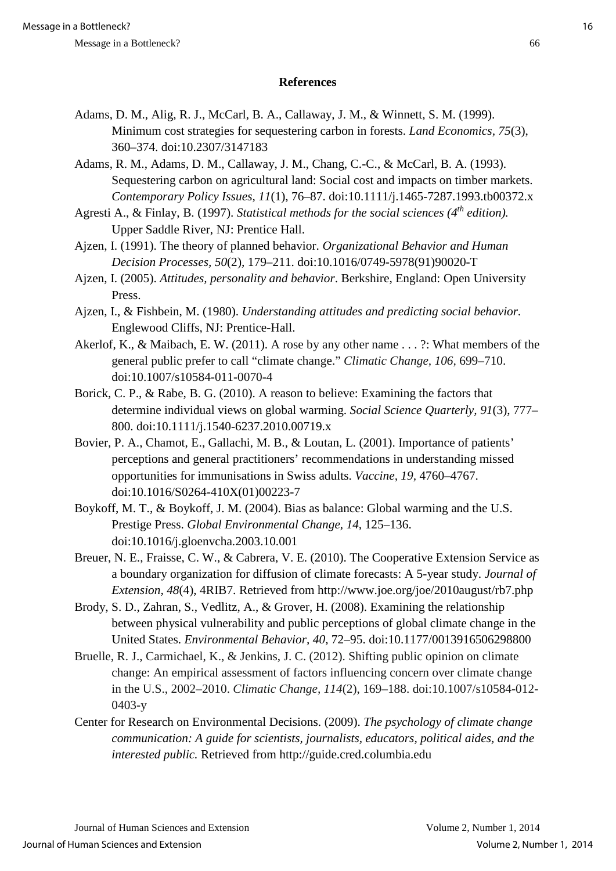## **References**

- Adams, D. M., Alig, R. J., McCarl, B. A., Callaway, J. M., & Winnett, S. M. (1999). Minimum cost strategies for sequestering carbon in forests. *Land Economics, 75*(3), 360–374. doi:10.2307/3147183
- Adams, R. M., Adams, D. M., Callaway, J. M., Chang, C.-C., & McCarl, B. A. (1993). Sequestering carbon on agricultural land: Social cost and impacts on timber markets. *Contemporary Policy Issues, 11*(1), 76–87. doi:10.1111/j.1465-7287.1993.tb00372.x
- Agresti A., & Finlay, B. (1997). *Statistical methods for the social sciences* (4<sup>th</sup> edition). Upper Saddle River, NJ: Prentice Hall.
- Ajzen, I. (1991). The theory of planned behavior. *Organizational Behavior and Human Decision Processes, 50*(2)*,* 179–211. doi:10.1016/0749-5978(91)90020-T
- Ajzen, I. (2005). *Attitudes, personality and behavior*. Berkshire, England: Open University Press.
- Ajzen, I., & Fishbein, M. (1980). *Understanding attitudes and predicting social behavior.* Englewood Cliffs, NJ: Prentice-Hall.
- Akerlof, K., & Maibach, E. W. (2011). A rose by any other name . . . ?: What members of the general public prefer to call "climate change." *Climatic Change, 106,* 699–710. doi:10.1007/s10584-011-0070-4
- Borick, C. P., & Rabe, B. G. (2010). A reason to believe: Examining the factors that determine individual views on global warming. *Social Science Quarterly, 91*(3), 777– 800. doi:10.1111/j.1540-6237.2010.00719.x
- Bovier, P. A., Chamot, E., Gallachi, M. B., & Loutan, L. (2001). Importance of patients' perceptions and general practitioners' recommendations in understanding missed opportunities for immunisations in Swiss adults. *Vaccine, 19,* 4760–4767. doi:10.1016/S0264-410X(01)00223-7
- Boykoff, M. T., & Boykoff, J. M. (2004). Bias as balance: Global warming and the U.S. Prestige Press. *Global Environmental Change, 14,* 125–136. doi:10.1016/j.gloenvcha.2003.10.001
- Breuer, N. E., Fraisse, C. W., & Cabrera, V. E. (2010). The Cooperative Extension Service as a boundary organization for diffusion of climate forecasts: A 5-year study. *Journal of Extension, 48*(4), 4RIB7. Retrieved from http://www.joe.org/joe/2010august/rb7.php
- Brody, S. D., Zahran, S., Vedlitz, A., & Grover, H. (2008). Examining the relationship between physical vulnerability and public perceptions of global climate change in the United States. *Environmental Behavior, 40,* 72–95. doi:10.1177/0013916506298800
- Bruelle, R. J., Carmichael, K., & Jenkins, J. C. (2012). Shifting public opinion on climate change: An empirical assessment of factors influencing concern over climate change in the U.S., 2002–2010. *Climatic Change, 114*(2), 169–188. doi:10.1007/s10584-012- 0403-y
- Center for Research on Environmental Decisions. (2009). *The psychology of climate change communication: A guide for scientists, journalists, educators, political aides, and the interested public.* Retrieved from http://guide.cred.columbia.edu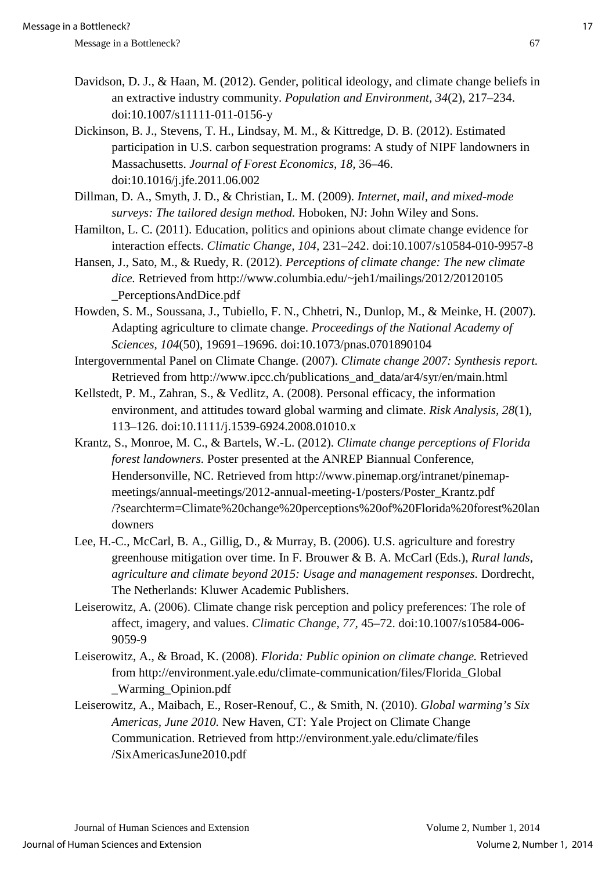- Davidson, D. J., & Haan, M. (2012). Gender, political ideology, and climate change beliefs in an extractive industry community. *Population and Environment, 34*(2), 217–234. doi:10.1007/s11111-011-0156-y
- Dickinson, B. J., Stevens, T. H., Lindsay, M. M., & Kittredge, D. B. (2012). Estimated participation in U.S. carbon sequestration programs: A study of NIPF landowners in Massachusetts. *Journal of Forest Economics, 18,* 36–46. doi:10.1016/j.jfe.2011.06.002
- Dillman, D. A., Smyth, J. D., & Christian, L. M. (2009). *Internet, mail, and mixed-mode surveys: The tailored design method.* Hoboken, NJ: John Wiley and Sons.
- Hamilton, L. C. (2011). Education, politics and opinions about climate change evidence for interaction effects. *Climatic Change, 104,* 231–242. doi:10.1007/s10584-010-9957-8
- Hansen, J., Sato, M., & Ruedy, R. (2012). *Perceptions of climate change: The new climate dice.* Retrieved from http://www.columbia.edu/~jeh1/mailings/2012/20120105 \_PerceptionsAndDice.pdf
- Howden, S. M., Soussana, J., Tubiello, F. N., Chhetri, N., Dunlop, M., & Meinke, H. (2007). Adapting agriculture to climate change. *Proceedings of the National Academy of Sciences, 104*(50), 19691–19696. doi:10.1073/pnas.0701890104
- Intergovernmental Panel on Climate Change. (2007). *Climate change 2007: Synthesis report.*  Retrieved from http://www.ipcc.ch/publications\_and\_data/ar4/syr/en/main.html
- Kellstedt, P. M., Zahran, S., & Vedlitz, A. (2008). Personal efficacy, the information environment, and attitudes toward global warming and climate. *Risk Analysis, 28*(1), 113–126. doi:10.1111/j.1539-6924.2008.01010.x
- Krantz, S., Monroe, M. C., & Bartels, W.-L. (2012). *Climate change perceptions of Florida forest landowners.* Poster presented at the ANREP Biannual Conference, Hendersonville, NC. Retrieved from http://www.pinemap.org/intranet/pinemapmeetings/annual-meetings/2012-annual-meeting-1/posters/Poster\_Krantz.pdf /?searchterm=Climate%20change%20perceptions%20of%20Florida%20forest%20lan downers
- Lee, H.-C., McCarl, B. A., Gillig, D., & Murray, B. (2006). U.S. agriculture and forestry greenhouse mitigation over time. In F. Brouwer & B. A. McCarl (Eds.), *Rural lands, agriculture and climate beyond 2015: Usage and management responses.* Dordrecht, The Netherlands: Kluwer Academic Publishers.
- Leiserowitz, A. (2006). Climate change risk perception and policy preferences: The role of affect, imagery, and values. *Climatic Change, 77,* 45–72. doi:10.1007/s10584-006- 9059-9
- Leiserowitz, A., & Broad, K. (2008). *Florida: Public opinion on climate change.* Retrieved from http://environment.yale.edu/climate-communication/files/Florida\_Global \_Warming\_Opinion.pdf
- Leiserowitz, A., Maibach, E., Roser-Renouf, C., & Smith, N. (2010). *Global warming's Six Americas, June 2010.* New Haven, CT: Yale Project on Climate Change Communication. Retrieved from http://environment.yale.edu/climate/files /SixAmericasJune2010.pdf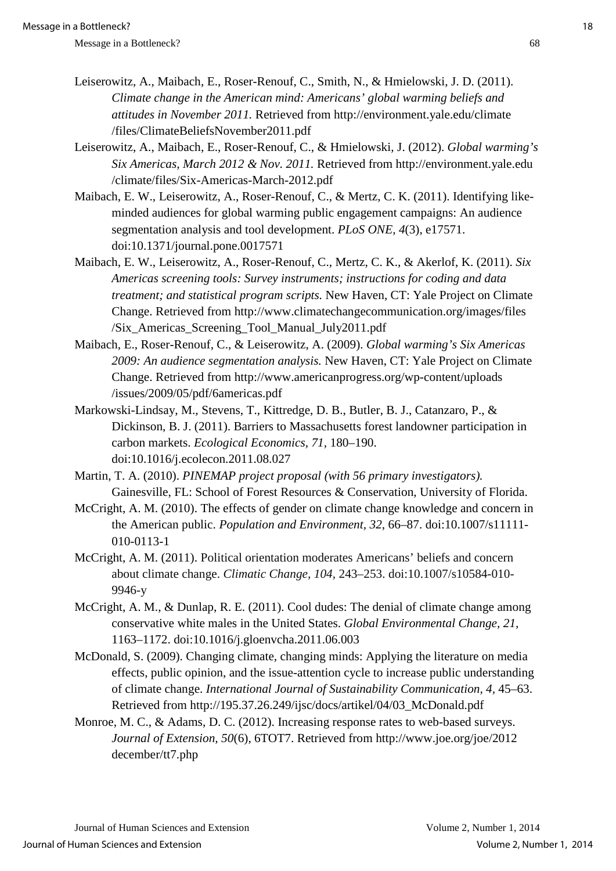- Leiserowitz, A., Maibach, E., Roser-Renouf, C., Smith, N., & Hmielowski, J. D. (2011). *Climate change in the American mind: Americans' global warming beliefs and attitudes in November 2011.* Retrieved from http://environment.yale.edu/climate /files/ClimateBeliefsNovember2011.pdf
- Leiserowitz, A., Maibach, E., Roser-Renouf, C., & Hmielowski, J. (2012). *Global warming's Six Americas, March 2012 & Nov. 2011.* Retrieved from http://environment.yale.edu /climate/files/Six-Americas-March-2012.pdf
- Maibach, E. W., Leiserowitz, A., Roser-Renouf, C., & Mertz, C. K. (2011). Identifying likeminded audiences for global warming public engagement campaigns: An audience segmentation analysis and tool development. *PLoS ONE, 4*(3), e17571. doi:10.1371/journal.pone.0017571
- Maibach, E. W., Leiserowitz, A., Roser-Renouf, C., Mertz, C. K., & Akerlof, K. (2011). *Six Americas screening tools: Survey instruments; instructions for coding and data treatment; and statistical program scripts.* New Haven, CT: Yale Project on Climate Change. Retrieved from http://www.climatechangecommunication.org/images/files /Six\_Americas\_Screening\_Tool\_Manual\_July2011.pdf
- Maibach, E., Roser-Renouf, C., & Leiserowitz, A. (2009). *Global warming's Six Americas 2009: An audience segmentation analysis.* New Haven, CT: Yale Project on Climate Change. Retrieved from http://www.americanprogress.org/wp-content/uploads /issues/2009/05/pdf/6americas.pdf
- Markowski-Lindsay, M., Stevens, T., Kittredge, D. B., Butler, B. J., Catanzaro, P., & Dickinson, B. J. (2011). Barriers to Massachusetts forest landowner participation in carbon markets. *Ecological Economics, 71,* 180–190. doi:10.1016/j.ecolecon.2011.08.027
- Martin, T. A. (2010). *PINEMAP project proposal (with 56 primary investigators).* Gainesville, FL: School of Forest Resources & Conservation, University of Florida.
- McCright, A. M. (2010). The effects of gender on climate change knowledge and concern in the American public. *Population and Environment, 32*, 66–87. doi:10.1007/s11111- 010-0113-1
- McCright, A. M. (2011). Political orientation moderates Americans' beliefs and concern about climate change. *Climatic Change, 104,* 243–253. doi:10.1007/s10584-010- 9946-y
- McCright, A. M., & Dunlap, R. E. (2011). Cool dudes: The denial of climate change among conservative white males in the United States. *Global Environmental Change, 21,* 1163–1172. doi:10.1016/j.gloenvcha.2011.06.003
- McDonald, S. (2009). Changing climate, changing minds: Applying the literature on media effects, public opinion, and the issue-attention cycle to increase public understanding of climate change. *International Journal of Sustainability Communication, 4,* 45–63. Retrieved from http://195.37.26.249/ijsc/docs/artikel/04/03\_McDonald.pdf
- Monroe, M. C., & Adams, D. C. (2012). Increasing response rates to web-based surveys. *Journal of Extension, 50*(6), 6TOT7. Retrieved from http://www.joe.org/joe/2012 december/tt7.php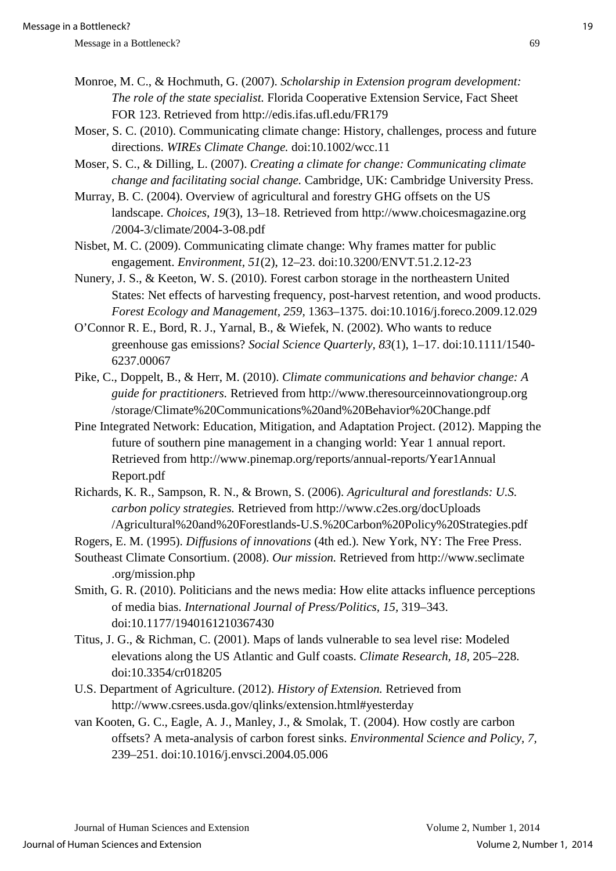- Monroe, M. C., & Hochmuth, G. (2007). *Scholarship in Extension program development: The role of the state specialist.* Florida Cooperative Extension Service, Fact Sheet FOR 123. Retrieved from http://edis.ifas.ufl.edu/FR179
- Moser, S. C. (2010). Communicating climate change: History, challenges, process and future directions. *WIREs Climate Change.* doi:10.1002/wcc.11
- Moser, S. C., & Dilling, L. (2007). *Creating a climate for change: Communicating climate change and facilitating social change.* Cambridge, UK: Cambridge University Press.
- Murray, B. C. (2004). Overview of agricultural and forestry GHG offsets on the US landscape. *Choices, 19*(3), 13–18. Retrieved from http://www.choicesmagazine.org /2004-3/climate/2004-3-08.pdf
- Nisbet, M. C. (2009). Communicating climate change: Why frames matter for public engagement. *Environment, 51*(2), 12–23. doi:10.3200/ENVT.51.2.12-23
- Nunery, J. S., & Keeton, W. S. (2010). Forest carbon storage in the northeastern United States: Net effects of harvesting frequency, post-harvest retention, and wood products. *Forest Ecology and Management, 259,* 1363–1375. doi:10.1016/j.foreco.2009.12.029
- O'Connor R. E., Bord, R. J., Yarnal, B., & Wiefek, N. (2002). Who wants to reduce greenhouse gas emissions? *Social Science Quarterly, 83*(1), 1–17. doi:10.1111/1540- 6237.00067
- Pike, C., Doppelt, B., & Herr, M. (2010). *Climate communications and behavior change: A guide for practitioners.* Retrieved from http://www.theresourceinnovationgroup.org /storage/Climate%20Communications%20and%20Behavior%20Change.pdf
- Pine Integrated Network: Education, Mitigation, and Adaptation Project. (2012). Mapping the future of southern pine management in a changing world: Year 1 annual report. Retrieved from http://www.pinemap.org/reports/annual-reports/Year1Annual Report.pdf
- Richards, K. R., Sampson, R. N., & Brown, S. (2006). *Agricultural and forestlands: U.S. carbon policy strategies.* Retrieved from http://www.c2es.org/docUploads /Agricultural%20and%20Forestlands-U.S.%20Carbon%20Policy%20Strategies.pdf
- Rogers, E. M. (1995). *Diffusions of innovations* (4th ed.). New York, NY: The Free Press.
- Southeast Climate Consortium. (2008). *Our mission.* Retrieved from http://www.seclimate .org/mission.php
- Smith, G. R. (2010). Politicians and the news media: How elite attacks influence perceptions of media bias. *International Journal of Press/Politics, 15,* 319–343. doi:10.1177/1940161210367430
- Titus, J. G., & Richman, C. (2001). Maps of lands vulnerable to sea level rise: Modeled elevations along the US Atlantic and Gulf coasts. *Climate Research, 18,* 205–228. doi:10.3354/cr018205
- U.S. Department of Agriculture. (2012). *History of Extension.* Retrieved from http://www.csrees.usda.gov/qlinks/extension.html#yesterday
- van Kooten, G. C., Eagle, A. J., Manley, J., & Smolak, T. (2004). How costly are carbon offsets? A meta-analysis of carbon forest sinks. *Environmental Science and Policy, 7,* 239–251. doi:10.1016/j.envsci.2004.05.006